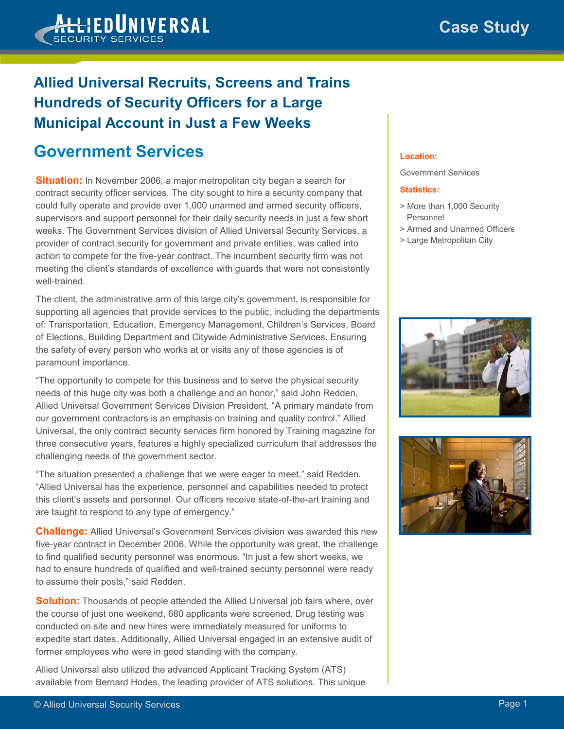## **Allied Universal Recruits, Screens and Trains Hundreds of Security Officers for a Large Municipal Account in Just a Few Weeks**

## **Government Services**

**Situation:** In November 2006, a major metropolitan city began a search for contract security officer services. The city sought to hire a security company that could fully operate and provide over 1,000 unarmed and armed security officers, supervisors and support personnel for their daily security needs in just a few short weeks. The Government Services division of Allied Universal Security Services, a provider of contract security for government and private entities, was called into action to compete for the five-year contract. The incumbent security firm was not meeting the client's standards of excellence with guards that were not consistently well-trained.

The client, the administrative arm of this large city's government, is responsible for supporting all agencies that provide services to the public, including the departments of: Transportation, Education, Emergency Management, Children's Services, Board of Elections, Building Department and Citywide Administrative Services. Ensuring the safety of every person who works at or visits any of these agencies is of paramount importance.

"The opportunity to compete for this business and to serve the physical security needs of this huge city was both a challenge and an honor," said John Redden, Allied Universal Government Services Division President. "A primary mandate from our government contractors is an emphasis on training and quality control." Allied Universal, the only contract security services firm honored by Training magazine for three consecutive years, features a highly specialized curriculum that addresses the challenging needs of the government sector.

"The situation presented a challenge that we were eager to meet," said Redden. "Allied Universal has the experience, personnel and capabilities needed to protect this client's assets and personnel. Our officers receive state-of-the-art training and are taught to respond to any type of emergency."

**Challenge:** Allied Universal's Government Services division was awarded this new five-year contract in December 2006. While the opportunity was great, the challenge to find qualified security personnel was enormous. "In just a few short weeks, we had to ensure hundreds of qualified and well-trained security personnel were ready to assume their posts," said Redden.

**Solution:** Thousands of people attended the Allied Universal job fairs where, over the course of just one weekend, 680 applicants were screened. Drug testing was conducted on site and new hires were immediately measured for uniforms to expedite start dates. Additionally, Allied Universal engaged in an extensive audit of former employees who were in good standing with the company.

Allied Universal also utilized the advanced Applicant Tracking System (ATS) available from Bernard Hodes, the leading provider of ATS solutions. This unique

## **Location:**

Government Services

## **Statistics:**

- > More than 1,000 Security Personnel
- > Armed and Unarmed Officers
- > Large Metropolitan City